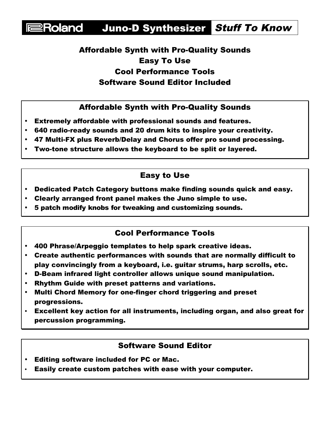# Roland Juno-D Synthesizer Stuff To Know

## Affordable Synth with Pro-Quality Sounds Easy To Use Cool Performance Tools Software Sound Editor Included

#### Affordable Synth with Pro-Quality Sounds

- Extremely affordable with professional sounds and features.
- 640 radio-ready sounds and 20 drum kits to inspire your creativity.
- 47 Multi-FX plus Reverb/Delay and Chorus offer pro sound processing.
- Two-tone structure allows the keyboard to be split or layered.

## Easy to Use

- Dedicated Patch Category buttons make finding sounds quick and easy.
- Clearly arranged front panel makes the Juno simple to use.
- 5 patch modify knobs for tweaking and customizing sounds.

### Cool Performance Tools

- 400 Phrase/Arpeggio templates to help spark creative ideas.
- Create authentic performances with sounds that are normally difficult to play convincingly from a keyboard, i.e. guitar strums, harp scrolls, etc.
- D-Beam infrared light controller allows unique sound manipulation.
- Rhythm Guide with preset patterns and variations.
- Multi Chord Memory for one-finger chord triggering and preset progressions.
- Excellent key action for all instruments, including organ, and also great for percussion programming.

### Software Sound Editor

- Editing software included for PC or Mac.
- Easily create custom patches with ease with your computer.